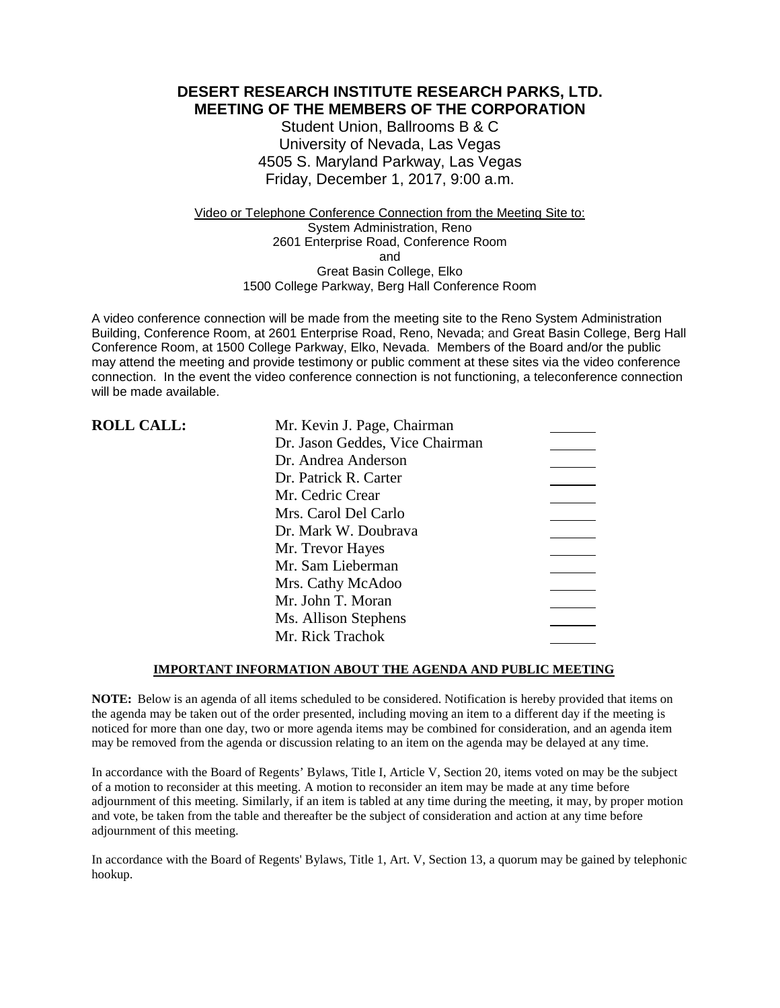**DESERT RESEARCH INSTITUTE RESEARCH PARKS, LTD. MEETING OF THE MEMBERS OF THE CORPORATION**

> Student Union, Ballrooms B & C University of Nevada, Las Vegas 4505 S. Maryland Parkway, Las Vegas Friday, December 1, 2017, 9:00 a.m.

Video or Telephone Conference Connection from the Meeting Site to: System Administration, Reno 2601 Enterprise Road, Conference Room and Great Basin College, Elko 1500 College Parkway, Berg Hall Conference Room

A video conference connection will be made from the meeting site to the Reno System Administration Building, Conference Room, at 2601 Enterprise Road, Reno, Nevada; and Great Basin College, Berg Hall Conference Room, at 1500 College Parkway, Elko, Nevada. Members of the Board and/or the public may attend the meeting and provide testimony or public comment at these sites via the video conference connection. In the event the video conference connection is not functioning, a teleconference connection will be made available.

| <b>ROLL CALL:</b> | Mr. Kevin J. Page, Chairman     |  |
|-------------------|---------------------------------|--|
|                   | Dr. Jason Geddes, Vice Chairman |  |
|                   | Dr. Andrea Anderson             |  |
|                   | Dr. Patrick R. Carter           |  |
|                   | Mr. Cedric Crear                |  |
|                   | Mrs. Carol Del Carlo            |  |
|                   | Dr. Mark W. Doubrava            |  |
|                   | Mr. Trevor Hayes                |  |
|                   | Mr. Sam Lieberman               |  |
|                   | Mrs. Cathy McAdoo               |  |
|                   | Mr. John T. Moran               |  |
|                   | Ms. Allison Stephens            |  |
|                   | Mr. Rick Trachok                |  |

### **IMPORTANT INFORMATION ABOUT THE AGENDA AND PUBLIC MEETING**

**NOTE:** Below is an agenda of all items scheduled to be considered. Notification is hereby provided that items on the agenda may be taken out of the order presented, including moving an item to a different day if the meeting is noticed for more than one day, two or more agenda items may be combined for consideration, and an agenda item may be removed from the agenda or discussion relating to an item on the agenda may be delayed at any time.

In accordance with the Board of Regents' Bylaws, Title I, Article V, Section 20, items voted on may be the subject of a motion to reconsider at this meeting. A motion to reconsider an item may be made at any time before adjournment of this meeting. Similarly, if an item is tabled at any time during the meeting, it may, by proper motion and vote, be taken from the table and thereafter be the subject of consideration and action at any time before adjournment of this meeting.

In accordance with the Board of Regents' Bylaws, Title 1, Art. V, Section 13, a quorum may be gained by telephonic hookup.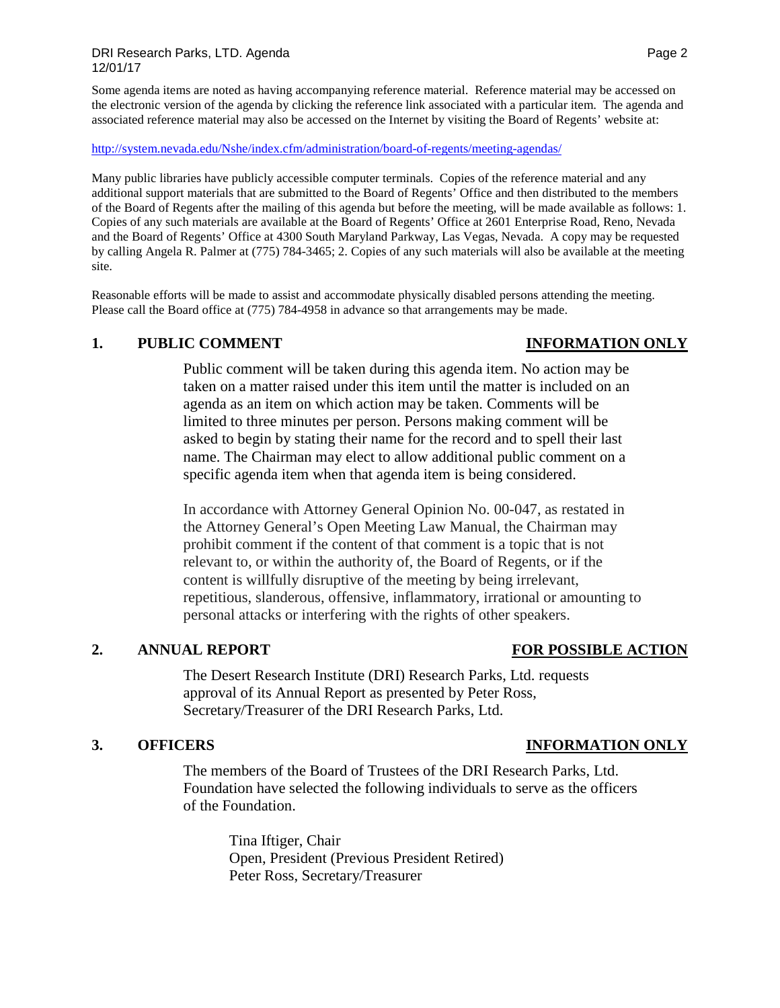Some agenda items are noted as having accompanying reference material. Reference material may be accessed on the electronic version of the agenda by clicking the reference link associated with a particular item. The agenda and associated reference material may also be accessed on the Internet by visiting the Board of Regents' website at:

### <http://system.nevada.edu/Nshe/index.cfm/administration/board-of-regents/meeting-agendas/>

Many public libraries have publicly accessible computer terminals. Copies of the reference material and any additional support materials that are submitted to the Board of Regents' Office and then distributed to the members of the Board of Regents after the mailing of this agenda but before the meeting, will be made available as follows: 1. Copies of any such materials are available at the Board of Regents' Office at 2601 Enterprise Road, Reno, Nevada and the Board of Regents' Office at 4300 South Maryland Parkway, Las Vegas, Nevada. A copy may be requested by calling Angela R. Palmer at (775) 784-3465; 2. Copies of any such materials will also be available at the meeting site.

Reasonable efforts will be made to assist and accommodate physically disabled persons attending the meeting. Please call the Board office at (775) 784-4958 in advance so that arrangements may be made.

### **1. PUBLIC COMMENT INFORMATION ONLY**

# Public comment will be taken during this agenda item. No action may be taken on a matter raised under this item until the matter is included on an agenda as an item on which action may be taken. Comments will be limited to three minutes per person. Persons making comment will be asked to begin by stating their name for the record and to spell their last name. The Chairman may elect to allow additional public comment on a specific agenda item when that agenda item is being considered.

In accordance with Attorney General Opinion No. 00-047, as restated in the Attorney General's Open Meeting Law Manual, the Chairman may prohibit comment if the content of that comment is a topic that is not relevant to, or within the authority of, the Board of Regents, or if the content is willfully disruptive of the meeting by being irrelevant, repetitious, slanderous, offensive, inflammatory, irrational or amounting to personal attacks or interfering with the rights of other speakers.

# **2. ANNUAL REPORT FOR POSSIBLE ACTION**

The Desert Research Institute (DRI) Research Parks, Ltd. requests approval of its Annual Report as presented by Peter Ross, Secretary/Treasurer of the DRI Research Parks, Ltd.

The members of the Board of Trustees of the DRI Research Parks, Ltd. Foundation have selected the following individuals to serve as the officers of the Foundation.

> Tina Iftiger, Chair Open, President (Previous President Retired) Peter Ross, Secretary/Treasurer

# **3. OFFICERS INFORMATION ONLY**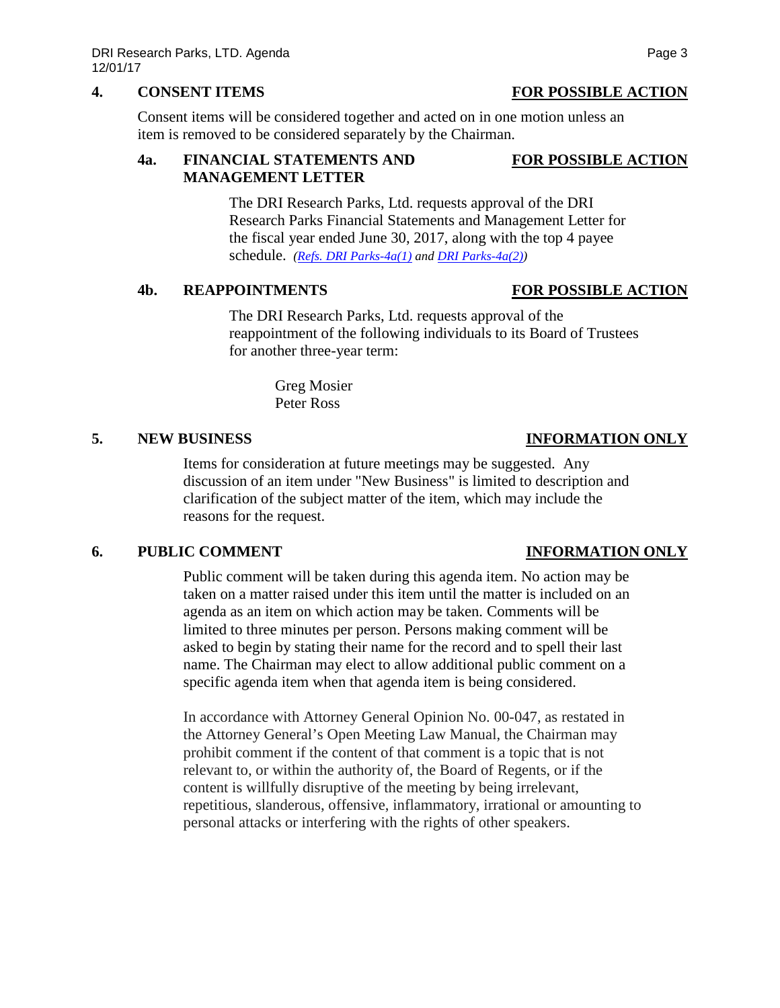# **4. CONSENT ITEMS FOR POSSIBLE ACTION**

Consent items will be considered together and acted on in one motion unless an item is removed to be considered separately by the Chairman.

# **4a. FINANCIAL STATEMENTS AND FOR POSSIBLE ACTION MANAGEMENT LETTER**

The DRI Research Parks, Ltd. requests approval of the DRI Research Parks Financial Statements and Management Letter for the fiscal year ended June 30, 2017, along with the top 4 payee schedule. *(Refs. DRI [Parks-4a\(1\)](https://nshe.nevada.edu/wp-content/uploads/file/BoardOfRegents/Agendas/2017/nov-mtgs/foundation-refs/dri-parks/DRI%20Parks-4a(1).pdf) and [DRI Parks-4a\(2\)\)](https://nshe.nevada.edu/wp-content/uploads/file/BoardOfRegents/Agendas/2017/nov-mtgs/foundation-refs/dri-parks/DRI%20Parks-4a(2).pdf)*

# **4b. REAPPOINTMENTS FOR POSSIBLE ACTION**

The DRI Research Parks, Ltd. requests approval of the reappointment of the following individuals to its Board of Trustees for another three-year term:

> Greg Mosier Peter Ross

# **5. NEW BUSINESS INFORMATION ONLY**

Items for consideration at future meetings may be suggested. Any discussion of an item under "New Business" is limited to description and clarification of the subject matter of the item, which may include the reasons for the request.

# **6. PUBLIC COMMENT INFORMATION ONLY**

Public comment will be taken during this agenda item. No action may be taken on a matter raised under this item until the matter is included on an agenda as an item on which action may be taken. Comments will be limited to three minutes per person. Persons making comment will be asked to begin by stating their name for the record and to spell their last name. The Chairman may elect to allow additional public comment on a specific agenda item when that agenda item is being considered.

In accordance with Attorney General Opinion No. 00-047, as restated in the Attorney General's Open Meeting Law Manual, the Chairman may prohibit comment if the content of that comment is a topic that is not relevant to, or within the authority of, the Board of Regents, or if the content is willfully disruptive of the meeting by being irrelevant, repetitious, slanderous, offensive, inflammatory, irrational or amounting to personal attacks or interfering with the rights of other speakers.